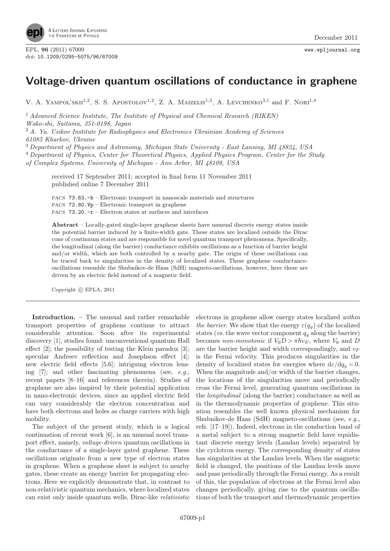

## Voltage-driven quantum oscillations of conductance in graphene

V. A. YAMPOL'SKII<sup>1,2</sup>, S. S. APOSTOLOV<sup>1,2</sup>, Z. A. MAIZELIS<sup>1,3</sup>, A. LEVCHENKO<sup>3,1</sup> and F. NORI<sup>1,4</sup>

<sup>1</sup> Advanced Science Institute, The Institute of Physical and Chemical Research (RIKEN) Wako-shi, Saitama, 351-0198, Japan

 $2A$ . Ya. Usikov Institute for Radiophysics and Electronics Ukrainian Academy of Sciences 61085 Kharkov, Ukraine

<sup>3</sup> Department of Physics and Astronomy, Michigan State University - East Lansing, MI 48824, USA

<sup>4</sup> Department of Physics, Center for Theoretical Physics, Applied Physics Program, Center for the Study

of Complex Systems, University of Michigan - Ann Arbor, MI 48109, USA

received 17 September 2011; accepted in final form 11 November 2011 published online 7 December 2011

PACS 73.63.-b – Electronic transport in nanoscale materials and structures PACS 72.80.Vp – Electronic transport in graphene PACS 73.20.-r – Electron states at surfaces and interfaces

Abstract – Locally-gated single-layer graphene sheets have unusual discrete energy states inside the potential barrier induced by a finite-width gate. These states are localized outside the Dirac cone of continuum states and are responsible for novel quantum transport phenomena. Specifically, the longitudinal (along the barrier) conductance exhibits oscillations as a function of barrier height and/or width, which are both controlled by a nearby gate. The origin of these oscillations can be traced back to singularities in the density of localized states. These graphene conductanceoscillations resemble the Shubnikov-de Haas (SdH) magneto-oscillations, however, here these are driven by an electric field instead of a magnetic field.

Copyright  $\odot$  EPLA, 2011

Introduction. – The unusual and rather remarkable transport properties of graphene continue to attract considerable attention. Soon after its experimental discovery [1], studies found: unconventional quantum Hall effect [2]; the possibility of testing the Klein paradox [3]; specular Andreev reflection and Josephson effect [4]; new electric field effects [5,6]; intriguing electron lensing [7]; and other fascinating phenomena (see, e.g., recent papers [8–16] and references therein). Studies of graphene are also inspired by their potential application in nano-electronic devices, since an applied electric field can vary considerably the electron concentration and have both electrons and holes as charge carriers with high mobility.

The subject of the present study, which is a logical continuation of recent work [6], is an unusual novel transport effect, namely, voltage-driven quantum oscillations in the conductance of a single-layer gated graphene. These oscillations originate from a new type of electron states in graphene. When a graphene sheet is subject to nearby gates, these create an energy barrier for propagating electrons. Here we explicitly demonstrate that, in contrast to non-relativistic quantum mechanics, where localized states can exist only inside quantum wells, Dirac-like relativistic

electrons in graphene allow energy states localized within the barrier. We show that the energy  $\varepsilon(q_y)$  of the localized states (*vs.* the wave vector component  $q_y$  along the barrier) becomes non-monotonic if  $V_0D > \pi \hbar v_F$ , where  $V_0$  and D are the barrier height and width correspondingly, and  $v_F$ is the Fermi velocity. This produces singularities in the density of localized states for energies where  $d\varepsilon/dq_u = 0$ . When the magnitude and/or width of the barrier changes, the locations of the singularities move and periodically cross the Fermi level, generating quantum oscillations in the longitudinal (along the barrier) conductance as well as in the thermodynamic properties of graphene. This situation resembles the well known physical mechanism for Shubnikov-de Haas (SdH) magneto-oscillations (see, e.g., refs. [17–19]). Indeed, electrons in the conduction band of a metal subject to a strong magnetic field have equidistant discrete energy levels (Landau levels) separated by the cyclotron energy. The corresponding density of states has singularities at the Landau levels. When the magnetic field is changed, the positions of the Landau levels move and pass periodically through the Fermi energy. As a result of this, the population of electrons at the Fermi level also changes periodically, giving rise to the quantum oscillations of both the transport and thermodynamic properties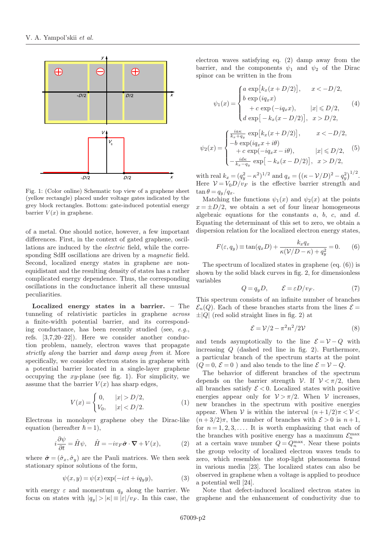

Fig. 1: (Color online) Schematic top view of a graphene sheet (yellow rectangle) placed under voltage gates indicated by the grey block rectangles. Bottom: gate-induced potential energy barrier  $V(x)$  in graphene.

of a metal. One should notice, however, a few important differences. First, in the context of gated graphene, oscillations are induced by the electric field, while the corresponding SdH oscillations are driven by a *magnetic* field. Second, localized energy states in graphene are nonequidistant and the resulting density of states has a rather complicated energy dependence. Thus, the corresponding oscillations in the conductance inherit all these unusual peculiarities.

Localized energy states in a barrier. – The tunneling of relativistic particles in graphene across a finite-width potential barrier, and its corresponding conductance, has been recently studied (see, e.g., refs. [3,7,20–22]). Here we consider another conduction problem, namely, electron waves that propagate strictly along the barrier and damp away from it. More specifically, we consider electron states in graphene with a potential barrier located in a single-layer graphene occupying the  $xy$ -plane (see fig. 1). For simplicity, we assume that the barrier  $V(x)$  has sharp edges,

$$
V(x) = \begin{cases} 0, & |x| > D/2, \\ V_0, & |x| < D/2. \end{cases}
$$
 (1)

Electrons in monolayer graphene obey the Dirac-like equation (hereafter  $\hbar = 1$ ),

$$
i\frac{\partial \psi}{\partial t} = \hat{H}\psi, \quad \hat{H} = -iv_F \hat{\boldsymbol{\sigma}} \cdot \boldsymbol{\nabla} + V(x), \quad (2)
$$

where  $\hat{\sigma} = (\hat{\sigma}_x, \hat{\sigma}_y)$  are the Pauli matrices. We then seek stationary spinor solutions of the form,

$$
\psi(x, y) = \psi(x) \exp(-i\varepsilon t + iq_y y), \tag{3}
$$

with energy  $\varepsilon$  and momentum  $q_y$  along the barrier. We focus on states with  $|q_y| > |\kappa| \equiv |\varepsilon|/v_F$ . In this case, the electron waves satisfying eq. (2) damp away from the barrier, and the components  $\psi_1$  and  $\psi_2$  of the Dirac spinor can be written in the from

$$
\psi_1(x) = \begin{cases}\na \exp\left[k_x(x+D/2)\right], & x < -D/2, \\
b \exp\left(iq_x x\right) \\
+ c \exp\left(-iq_x x\right), & |x| \le D/2, \\
d \exp\left[-k_x(x-D/2)\right], & x > D/2,\n\end{cases}
$$
\n(4)

$$
\psi_2(x) = \begin{cases}\n\frac{i a \kappa}{k_x + q_y} \exp[k_x(x + D/2)], & x < -D/2, \\
-b \exp(i q_x x + i \theta) \\
+c \exp(-i q_x x - i \theta), & |x| \le D/2, \\
-\frac{i d \kappa}{k_x - q_y} \exp[-k_x(x - D/2)], & x > D/2,\n\end{cases}
$$
\n(5)

with real  $k_x = (q_y^2 - \kappa^2)^{1/2}$  and  $q_x = ((\kappa - \mathcal{V}/D)^2 - q_y^2)^{1/2}$ . Here  $V = V_0 D / v_F$  is the effective barrier strength and  $\tan \theta = q_y/q_x.$ 

Matching the functions  $\psi_1(x)$  and  $\psi_2(x)$  at the points  $x = \pm D/2$ , we obtain a set of four linear homogeneous algebraic equations for the constants  $a, b, c,$  and  $d$ . Equating the determinant of this set to zero, we obtain a dispersion relation for the localized electron energy states,

$$
F(\varepsilon, q_y) \equiv \tan(q_x D) + \frac{k_x q_x}{\kappa(\mathcal{V}/D - \kappa) + q_y^2} = 0. \tag{6}
$$

The spectrum of localized states in graphene (eq. (6)) is shown by the solid black curves in fig. 2, for dimensionless variables

$$
Q = q_y D, \qquad \mathcal{E} = \varepsilon D/v_F. \tag{7}
$$

This spectrum consists of an infinite number of branches  $\mathcal{E}_n(Q)$ . Each of these branches starts from the lines  $\mathcal{E} =$  $\pm|Q|$  (red solid straight lines in fig. 2) at

$$
\mathcal{E} = \mathcal{V}/2 - \pi^2 n^2 / 2\mathcal{V} \tag{8}
$$

and tends asymptotically to the line  $\mathcal{E} = \mathcal{V} - Q$  with increasing Q (dashed red line in fig. 2). Furthermore, a particular branch of the spectrum starts at the point  $(Q = 0, \mathcal{E} = 0)$  and also tends to the line  $\mathcal{E} = \mathcal{V} - Q$ .

The behavior of different branches of the spectrum depends on the barrier strength  $V$ . If  $V < \pi/2$ , then all branches satisfy  $\mathcal{E} < 0$ . Localized states with positive energies appear only for  $V > \pi/2$ . When V increases, new branches in the spectrum with positive energies appear. When V is within the interval  $(n+1/2)\pi < V <$  $(n+3/2)\pi$ , the number of branches with  $\mathcal{E} > 0$  is  $n+1$ , for  $n = 1, 2, 3, \ldots$ . It is worth emphasizing that each of the branches with positive energy has a maximum  $\mathcal{E}_n^{\max}$ at a certain wave number  $Q = Q_n^{\max}$ . Near these points the group velocity of localized electron waves tends to zero, which resembles the stop-light phenomena found in various media [23]. The localized states can also be observed in graphene when a voltage is applied to produce a potential well [24].

Note that defect-induced localized electron states in graphene and the enhancement of conductivity due to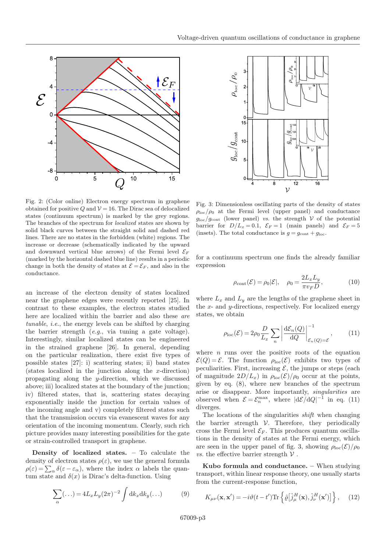

Fig. 2: (Color online) Electron energy spectrum in graphene obtained for positive Q and  $V = 16$ . The Dirac sea of delocalized states (continuum spectrum) is marked by the grey regions. The branches of the spectrum for localized states are shown by solid black curves between the straight solid and dashed red lines. There are no states in the forbidden (white) regions. The increase or decrease (schematically indicated by the upward and downward vertical blue arrows) of the Fermi level  $\mathcal{E}_F$ (marked by the horizontal dashed blue line) results in a periodic change in both the density of states at  $\mathcal{E} = \mathcal{E}_F$ , and also in the conductance.

an increase of the electron density of states localized near the graphene edges were recently reported [25]. In contrast to these examples, the electron states studied here are localized within the barrier and also these are tunable, i.e., the energy levels can be shifted by charging the barrier strength (e.g., via tuning a gate voltage). Interestingly, similar localized states can be engineered in the strained graphene [26]. In general, depending on the particular realization, there exist five types of possible states [27]: i) scattering states; ii) band states (states localized in the junction along the x-direction) propagating along the y-direction, which we discussed above; iii) localized states at the boundary of the junction; iv) filtered states, that is, scattering states decaying exponentially inside the junction for certain values of the incoming angle and v) completely filtered states such that the transmission occurs via evanescent waves for any orientation of the incoming momentum. Clearly, such rich picture provides many interesting possibilities for the gate or strain-controlled transport in graphene.

Density of localized states. – To calculate the density of electron states  $\rho(\varepsilon)$ , we use the general formula  $\rho(\varepsilon) = \sum_{\alpha} \delta(\varepsilon - \varepsilon_{\alpha}),$  where the index  $\alpha$  labels the quantum state and  $\delta(x)$  is Dirac's delta-function. Using

$$
\sum_{\alpha}(\ldots) = 4L_x L_y (2\pi)^{-2} \int \mathrm{d}k_x \mathrm{d}k_y (\ldots) \tag{9}
$$



Fig. 3: Dimensionless oscillating parts of the density of states  $\rho_{\rm loc}/\rho_0$  at the Fermi level (upper panel) and conductance  $g_{\text{loc}}/g_{\text{cont}}$  (lower panel) vs. the strength  $\mathcal V$  of the potential barrier for  $D/L_x = 0.1$ ,  $\mathcal{E}_F = 1$  (main panels) and  $\mathcal{E}_F = 5$ (insets). The total conductance is  $g = g_{\text{cont}} + g_{\text{loc}}$ .

for a continuum spectrum one finds the already familiar expression

$$
\rho_{\text{cont}}(\mathcal{E}) = \rho_0 |\mathcal{E}|, \quad \rho_0 = \frac{2L_x L_y}{\pi v_F D}, \tag{10}
$$

where  $L_x$  and  $L_y$  are the lengths of the graphene sheet in the x- and y-directions, respectively. For localized energy states, we obtain

$$
\rho_{\rm loc}(\mathcal{E}) = 2\rho_0 \frac{D}{L_x} \sum_n \left| \frac{\mathrm{d}\mathcal{E}_n(Q)}{\mathrm{d}Q} \right|_{\mathcal{E}_n(Q) = \mathcal{E}}^{-1},\tag{11}
$$

where  $n$  runs over the positive roots of the equation  $\mathcal{E}(Q) = \mathcal{E}$ . The function  $\rho_{\text{loc}}(\mathcal{E})$  exhibits two types of peculiarities. First, increasing  $\mathcal{E}$ , the jumps or steps (each of magnitude  $2D/L_x$ ) in  $\rho_{\text{loc}}(\mathcal{E})/\rho_0$  occur at the points, given by eq. (8), where new branches of the spectrum arise or disappear. More importantly, singularities are observed when  $\mathcal{E} = \mathcal{E}_n^{\max}$ , where  $|d\mathcal{E}/dQ|^{-1}$  in eq. (11) diverges.

The locations of the singularities *shift* when changing the barrier strength  $V$ . Therefore, they periodically cross the Fermi level  $\mathcal{E}_F$ . This produces quantum oscillations in the density of states at the Fermi energy, which are seen in the upper panel of fig. 3, showing  $\rho_{\text{loc}}(\mathcal{E})/\rho_0$ *vs.* the effective barrier strength  $V$ .

Kubo formula and conductance. – When studying transport, within linear response theory, one usually starts from the current-response function,

$$
K_{\mu\nu}(\mathbf{x}, \mathbf{x}') = -i\vartheta(t - t') \text{Tr} \left\{ \hat{\varrho} \left[ \hat{j}_{\mu}^{H}(\mathbf{x}), \hat{j}_{\nu}^{H}(\mathbf{x}') \right] \right\}, \quad (12)
$$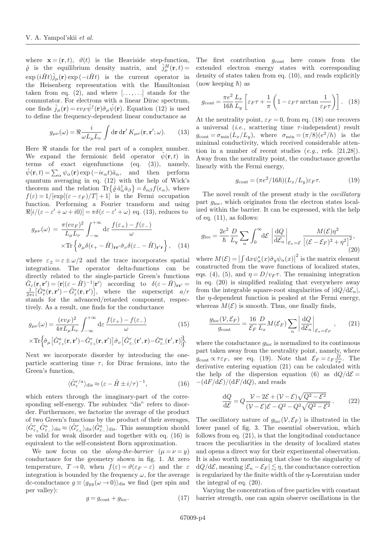where  $\mathbf{x} = (\mathbf{r}, t)$ ,  $\vartheta(t)$  is the Heaviside step-function,  $\hat{\varrho}$  is the equilibrium density matrix, and  $\hat{j}_{\mu}^{H}(\mathbf{r},t)$  $\exp(i\hat{H}t)\hat{j}_{\mu}(\mathbf{r})\exp(-i\hat{H}t)$  is the current operator in the Heisenberg representation with the Hamiltonian taken from eq.  $(2)$ , and where  $[\ldots, \ldots]$  stands for the commutator. For electrons with a linear Dirac spectrum, one finds  $\hat{j}_{\mu}(\mathbf{r}) = ev_F \hat{\psi}^{\dagger}(\mathbf{r}) \hat{\sigma}_{\mu} \hat{\psi}(\mathbf{r})$ . Equation (12) is used to define the frequency-dependent linear conductance as

$$
g_{\mu\nu}(\omega) = \Re \frac{i}{\omega L_{\mu} L_{\nu}} \int \mathrm{d} \mathbf{r} \, \mathrm{d} \mathbf{r}' \, K_{\mu\nu}(\mathbf{r}, \mathbf{r}'; \omega). \qquad (13)
$$

Here  $\Re$  stands for the real part of a complex number. We expand the fermionic field operator  $\hat{\psi}(\mathbf{r},t)$  in terms of exact eigenfunctions (eq. (3)), namely,  $\hat{\psi}(\mathbf{r}, t) = \sum_{\alpha} \psi_{\alpha}(\mathbf{r}) \exp(-i\epsilon_{\alpha} t)\hat{a}_{\alpha},$  and then perform quantum averaging in eq. (12) with the help of Wick's theorem and the relation  $\text{Tr}\{\hat{\varrho}\hat{a}^{\dagger}_{\alpha}\hat{a}_{\beta}\}=\delta_{\alpha\beta}f(\epsilon_{\alpha}),$  where  $f(\varepsilon)=1/[\exp[(\varepsilon-\varepsilon_F)/T]+1]$  is the Fermi occupation function. Performing a Fourier transform and using  $\Re[i/(\varepsilon-\varepsilon'+\omega+i0)] = \pi\delta(\varepsilon-\varepsilon'+\omega)$  eq. (13), reduces to

$$
g_{\mu\nu}(\omega) = \frac{\pi (ev_F)^2}{L_{\mu}L_{\nu}} \int_{-\infty}^{+\infty} d\varepsilon \frac{f(\varepsilon_{+}) - f(\varepsilon_{-})}{\omega} \times \text{Tr} \left\{ \hat{\sigma}_{\mu} \delta(\varepsilon_{+} - \hat{H})_{\mathbf{r}\mathbf{r}'} \hat{\sigma}_{\nu} \delta(\varepsilon_{-} - \hat{H})_{\mathbf{r}'\mathbf{r}} \right\}, \quad (14)
$$

where  $\varepsilon_{\pm} = \varepsilon \pm \omega/2$  and the trace incorporates spatial integrations. The operator delta-functions can be directly related to the single-particle Green's functions  $\hat{G}_{\varepsilon}(\mathbf{r}, \mathbf{r}') = \langle \mathbf{r} | (\varepsilon - \hat{H})^{-1} | \mathbf{r}' \rangle$  according to  $\delta(\varepsilon - \hat{H})_{\mathbf{r}\mathbf{r}'} =$  $\frac{1}{2\pi i} \left[ \hat{G}^a_{\varepsilon}(\mathbf{r}, \mathbf{r}') - \hat{G}^r_{\varepsilon}(\mathbf{r}, \mathbf{r}') \right],$  where the superscript  $a/r$ stands for the advanced/retarded component, respectively. As a result, one finds for the conductance

$$
g_{\mu\nu}(\omega) = \frac{(ev_F)^2}{4\pi L_\mu L_\nu} \int_{-\infty}^{+\infty} d\varepsilon \, \frac{f(\varepsilon_+) - f(\varepsilon_-)}{\omega} \qquad (15)
$$

$$
\times \text{Tr} \Big\{ \hat{\sigma}_\mu \big[ \hat{G}^a_{\varepsilon_+}(\mathbf{r}, \mathbf{r}') - \hat{G}^r_{\varepsilon_+}(\mathbf{r}, \mathbf{r}') \big] \hat{\sigma}_\nu \big[ \hat{G}^r_{\varepsilon_-}(\mathbf{r}', \mathbf{r}) - \hat{G}^a_{\varepsilon_-}(\mathbf{r}', \mathbf{r}) \big] \Big\}.
$$

Next we incorporate disorder by introducing the oneparticle scattering time  $\tau$ , for Dirac fermions, into the Green's function,

$$
\langle \hat{G}^{r/a}_{\varepsilon} \rangle_{\text{dis}} \approx (\varepsilon - \hat{H} \pm i/\tau)^{-1}, \tag{16}
$$

which enters through the imaginary-part of the corresponding self-energy. The subindex "dis" refers to disorder. Furthermore, we factorize the average of the product of two Green's functions by the product of their averages,  $\langle \hat{G}^r_{\varepsilon_+} \hat{G}^a_{\varepsilon_-} \rangle_{\text{dis}} \approx \langle \hat{G}^r_{\varepsilon_+} \rangle_{\text{dis}} \langle \hat{G}^a_{\varepsilon_-} \rangle_{\text{dis}}.$  This assumption should be valid for weak disorder and together with eq. (16) is equivalent to the self-consistent Born approximation.

We now focus on the *along-the-barrier*  $(\mu = \nu = y)$ conductance for the geometry shown in fig. 1. At zero temperature,  $T \to 0$ , when  $f(\varepsilon) = \vartheta(\varepsilon_F - \varepsilon)$  and the  $\varepsilon$ integration is bounded by the frequency  $\omega$ , for the average dc-conductance  $g \equiv \langle g_{yy}(\omega \to 0) \rangle_{\text{dis}}$  we find (per spin and per valley):

$$
g = g_{\text{cont}} + g_{\text{loc}}.\tag{17}
$$

The first contribution  $g_{\text{cont}}$  here comes from the extended electron energy states with corresponding density of states taken from eq. (10), and reads explicitly (now keeping  $\hbar$ ) as

$$
g_{\text{cont}} = \frac{\pi e^2}{16\hbar} \frac{L_x}{L_y} \left[ \varepsilon_F \tau + \frac{1}{\pi} \left( 1 - \varepsilon_F \tau \arctan \frac{1}{\varepsilon_F \tau} \right) \right]. \tag{18}
$$

At the neutrality point,  $\varepsilon_F = 0$ , from eq. (18) one recovers a universal (*i.e.*, scattering time  $\tau$ -independent) result  $g_{\text{cont}} = \sigma_{\min}(L_x/L_y)$ , where  $\sigma_{\min} = (\pi/8)(e^2/h)$  is the minimal conductivity, which received considerable attention in a number of recent studies  $(e.g.,$  refs.  $[21,28]$ ). Away from the neutrality point, the conductance growths linearly with the Fermi energy,

$$
g_{\text{cont}} = (\pi e^2 / 16\hbar)(L_x / L_y) \varepsilon_F \tau.
$$
 (19)

The novel result of the present study is the *oscillatory* part  $g_{\text{loc}}$ , which originates from the electron states localized within the barrier. It can be expressed, with the help of eq.  $(11)$ , as follows:

$$
g_{\text{loc}} = \frac{2e^2}{\hbar} \frac{D}{L_y} \sum_n \int_0^\infty d\mathcal{E} \left| \frac{dQ}{d\mathcal{E}_n} \right|_{\mathcal{E}_n = \mathcal{E}} \frac{M(\mathcal{E})\eta^2}{\left[ (\mathcal{E} - \mathcal{E}_F)^2 + \eta^2 \right]^2},\tag{20}
$$

where  $M(\mathcal{E}) = \left| \int dx \psi_{\alpha}^*(x) \hat{\sigma}_y \psi_{\alpha}(x) \right|^2$  is the matrix element constructed from the wave functions of localized states, eqs. (4), (5), and  $\eta = D/v_F \tau$ . The remaining integration in eq. (20) is simplified realizing that everywhere away from the integrable square-root singularities of  $|dQ/d\mathcal{E}_n|$ , the  $\eta$ -dependent function is peaked at the Fermi energy, whereas  $M(\mathcal{E})$  is smooth. Thus, one finally finds,

$$
\frac{g_{\text{loc}}(\mathcal{V}, \mathcal{E}_F)}{g_{\text{cont}}} = \frac{16}{\mathcal{E}_F} \frac{D}{L_x} M(\mathcal{E}_F) \sum_n \left| \frac{\mathrm{d}Q}{\mathrm{d}\mathcal{E}_n} \right|_{\mathcal{E}_n = \mathcal{E}_F},\qquad(21)
$$

where the conductance  $g_{\text{loc}}$  is normalized to its continuous part taken away from the neutrality point, namely, where  $g_{\text{cont}} \propto \tau \varepsilon_F$ , see eq. (19). Note that  $\mathcal{E}_F = \varepsilon_F \frac{D}{v_F}$ . The derivative entering equation (21) can be calculated with the help of the dispersion equation (6) as  $dQ/d\mathcal{E} =$  $-(dF/dE)/(dF/dQ)$ , and reads

$$
\frac{\mathrm{d}Q}{\mathrm{d}\mathcal{E}} = Q \frac{\mathcal{V} - 2\mathcal{E} + (\mathcal{V} - \mathcal{E})\sqrt{Q^2 - \mathcal{E}^2}}{(\mathcal{V} - \mathcal{E})\mathcal{E} - Q^2 - Q^2\sqrt{Q^2 - \mathcal{E}^2}}.
$$
(22)

The oscillatory nature of  $g_{\text{loc}}(\mathcal{V}, \mathcal{E}_F)$  is illustrated in the lower panel of fig. 3. The essential observation, which follows from eq. (21), is that the longitudinal conductance traces the peculiarities in the density of localized states and opens a direct way for their experimental observation. It is also worth mentioning that close to the singularity of  $\text{d}Q/\text{d}\mathcal{E}$ , meaning  $|\mathcal{E}_n - \mathcal{E}_F| \lesssim \eta$ , the conductance correction is regularized by the finite width of the  $\eta$ -Lorentzian under the integral of eq. (20).

Varying the concentration of free particles with constant barrier strength, one can again observe oscillations in the